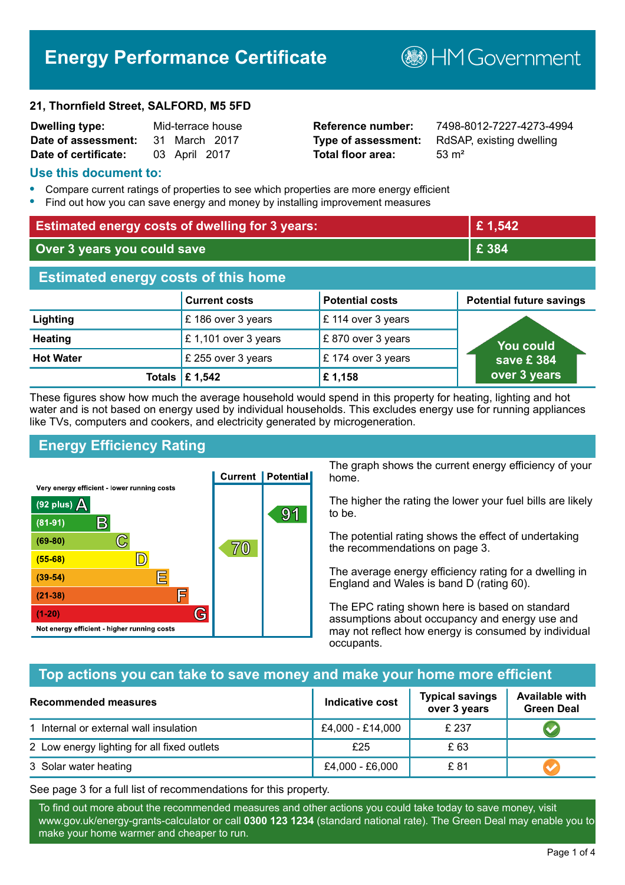# **Energy Performance Certificate**

#### **21, Thornfield Street, SALFORD, M5 5FD**

| <b>Dwelling type:</b> | Mid-terrace house |  |
|-----------------------|-------------------|--|
| Date of assessment:   | 31 March 2017     |  |
| Date of certificate:  | 03 April 2017     |  |

# **Total floor area:** 53 m<sup>2</sup>

**Dwelling type:** Mid-terrace house **Reference number:** 7498-8012-7227-4273-4994 **Type of assessment:** RdSAP, existing dwelling

**BHM Government** 

#### **Use this document to:**

- **•** Compare current ratings of properties to see which properties are more energy efficient
- **•** Find out how you can save energy and money by installing improvement measures

| <b>Estimated energy costs of dwelling for 3 years:</b> |                      | £1,542                 |                                 |
|--------------------------------------------------------|----------------------|------------------------|---------------------------------|
| Over 3 years you could save                            |                      | £ 384                  |                                 |
| <b>Estimated energy costs of this home</b>             |                      |                        |                                 |
|                                                        | <b>Current costs</b> | <b>Potential costs</b> | <b>Potential future savings</b> |
| Lighting                                               | £186 over 3 years    | £ 114 over 3 years     |                                 |
| <b>Heating</b>                                         | £1,101 over 3 years  | £870 over 3 years      | You could                       |
| <b>Hot Water</b>                                       | £ 255 over 3 years   | £174 over 3 years      | save £384                       |
| <b>Totals</b>                                          | £ 1,542              | £1,158                 | over 3 years                    |

These figures show how much the average household would spend in this property for heating, lighting and hot water and is not based on energy used by individual households. This excludes energy use for running appliances like TVs, computers and cookers, and electricity generated by microgeneration.

# **Energy Efficiency Rating**



The graph shows the current energy efficiency of your home.

The higher the rating the lower your fuel bills are likely to be.

The potential rating shows the effect of undertaking the recommendations on page 3.

The average energy efficiency rating for a dwelling in England and Wales is band D (rating 60).

The EPC rating shown here is based on standard assumptions about occupancy and energy use and may not reflect how energy is consumed by individual occupants.

# **Top actions you can take to save money and make your home more efficient**

| <b>Recommended measures</b>                 | Indicative cost  | <b>Typical savings</b><br>over 3 years | <b>Available with</b><br><b>Green Deal</b> |
|---------------------------------------------|------------------|----------------------------------------|--------------------------------------------|
| 1 Internal or external wall insulation      | £4,000 - £14,000 | £ 237                                  |                                            |
| 2 Low energy lighting for all fixed outlets | £25              | £ 63                                   |                                            |
| 3 Solar water heating                       | £4,000 - £6,000  | £ 81                                   |                                            |

See page 3 for a full list of recommendations for this property.

To find out more about the recommended measures and other actions you could take today to save money, visit www.gov.uk/energy-grants-calculator or call **0300 123 1234** (standard national rate). The Green Deal may enable you to make your home warmer and cheaper to run.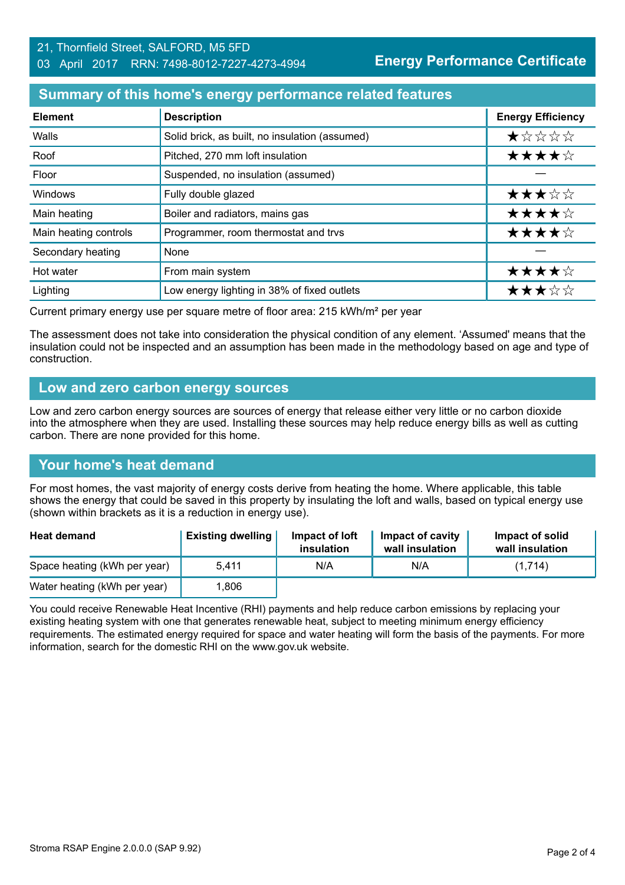#### 21, Thornfield Street, SALFORD, M5 5FD 03 April 2017 RRN: 7498-8012-7227-4273-4994

#### **Summary of this home's energy performance related features**

| <b>Element</b>        | <b>Description</b>                             | <b>Energy Efficiency</b> |
|-----------------------|------------------------------------------------|--------------------------|
| Walls                 | Solid brick, as built, no insulation (assumed) | *****                    |
| Roof                  | Pitched, 270 mm loft insulation                | ★★★★☆                    |
| Floor                 | Suspended, no insulation (assumed)             |                          |
| Windows               | Fully double glazed                            | ★★★☆☆                    |
| Main heating          | Boiler and radiators, mains gas                | ★★★★☆                    |
| Main heating controls | Programmer, room thermostat and trvs           | ★★★★☆                    |
| Secondary heating     | None                                           |                          |
| Hot water             | From main system                               | ★★★★☆                    |
| Lighting              | Low energy lighting in 38% of fixed outlets    | ★★★☆☆                    |

Current primary energy use per square metre of floor area: 215 kWh/m² per year

The assessment does not take into consideration the physical condition of any element. 'Assumed' means that the insulation could not be inspected and an assumption has been made in the methodology based on age and type of construction.

#### **Low and zero carbon energy sources**

Low and zero carbon energy sources are sources of energy that release either very little or no carbon dioxide into the atmosphere when they are used. Installing these sources may help reduce energy bills as well as cutting carbon. There are none provided for this home.

# **Your home's heat demand**

For most homes, the vast majority of energy costs derive from heating the home. Where applicable, this table shows the energy that could be saved in this property by insulating the loft and walls, based on typical energy use (shown within brackets as it is a reduction in energy use).

| <b>Heat demand</b>           | <b>Existing dwelling</b> | Impact of loft<br>insulation | Impact of cavity<br>wall insulation | Impact of solid<br>wall insulation |
|------------------------------|--------------------------|------------------------------|-------------------------------------|------------------------------------|
| Space heating (kWh per year) | 5.411                    | N/A                          | N/A                                 | (1.714)                            |
| Water heating (kWh per year) | .806                     |                              |                                     |                                    |

You could receive Renewable Heat Incentive (RHI) payments and help reduce carbon emissions by replacing your existing heating system with one that generates renewable heat, subject to meeting minimum energy efficiency requirements. The estimated energy required for space and water heating will form the basis of the payments. For more information, search for the domestic RHI on the www.gov.uk website.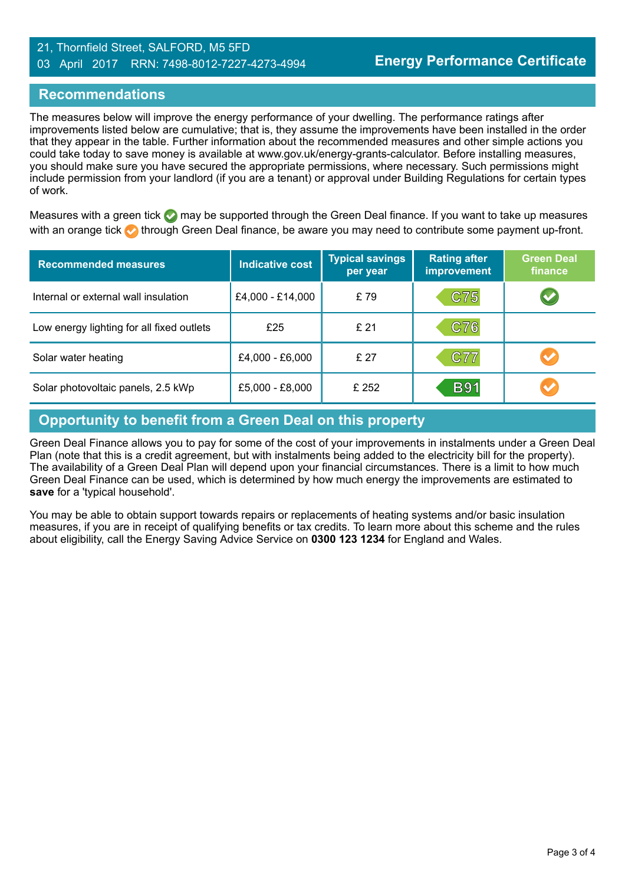#### 21, Thornfield Street, SALFORD, M5 5FD 03 April 2017 RRN: 7498-8012-7227-4273-4994

### **Recommendations**

The measures below will improve the energy performance of your dwelling. The performance ratings after improvements listed below are cumulative; that is, they assume the improvements have been installed in the order that they appear in the table. Further information about the recommended measures and other simple actions you could take today to save money is available at www.gov.uk/energy-grants-calculator. Before installing measures, you should make sure you have secured the appropriate permissions, where necessary. Such permissions might include permission from your landlord (if you are a tenant) or approval under Building Regulations for certain types of work.

Measures with a green tick  $\bullet$  may be supported through the Green Deal finance. If you want to take up measures with an orange tick **th** through Green Deal finance, be aware you may need to contribute some payment up-front.

| <b>Recommended measures</b>               | <b>Indicative cost</b> | <b>Typical savings</b><br>per year | <b>Rating after</b><br><b>improvement</b> | <b>Green Deal</b><br>finance |
|-------------------------------------------|------------------------|------------------------------------|-------------------------------------------|------------------------------|
| Internal or external wall insulation      | £4,000 - £14,000       | £79                                | C75                                       |                              |
| Low energy lighting for all fixed outlets | £25                    | £ 21                               | C76                                       |                              |
| Solar water heating                       | £4,000 - £6,000        | £ 27                               | <b>C77</b>                                |                              |
| Solar photovoltaic panels, 2.5 kWp        | £5,000 - £8,000        | £ 252                              | <b>B91</b>                                |                              |

# **Opportunity to benefit from a Green Deal on this property**

Green Deal Finance allows you to pay for some of the cost of your improvements in instalments under a Green Deal Plan (note that this is a credit agreement, but with instalments being added to the electricity bill for the property). The availability of a Green Deal Plan will depend upon your financial circumstances. There is a limit to how much Green Deal Finance can be used, which is determined by how much energy the improvements are estimated to **save** for a 'typical household'.

You may be able to obtain support towards repairs or replacements of heating systems and/or basic insulation measures, if you are in receipt of qualifying benefits or tax credits. To learn more about this scheme and the rules about eligibility, call the Energy Saving Advice Service on **0300 123 1234** for England and Wales.